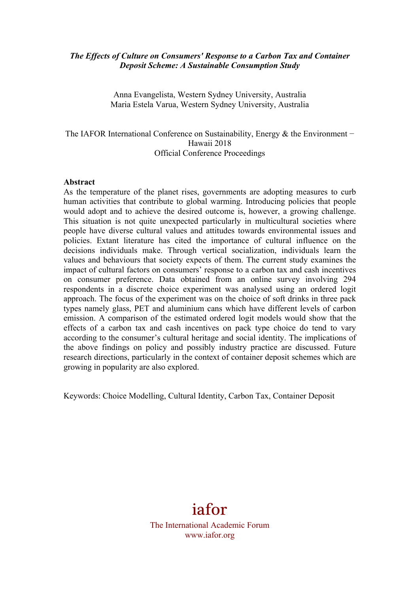#### *The Effects of Culture on Consumers' Response to a Carbon Tax and Container Deposit Scheme: A Sustainable Consumption Study*

Anna Evangelista, Western Sydney University, Australia Maria Estela Varua, Western Sydney University, Australia

The IAFOR International Conference on Sustainability, Energy & the Environment – Hawaii 2018 Official Conference Proceedings

#### **Abstract**

As the temperature of the planet rises, governments are adopting measures to curb human activities that contribute to global warming. Introducing policies that people would adopt and to achieve the desired outcome is, however, a growing challenge. This situation is not quite unexpected particularly in multicultural societies where people have diverse cultural values and attitudes towards environmental issues and policies. Extant literature has cited the importance of cultural influence on the decisions individuals make. Through vertical socialization, individuals learn the values and behaviours that society expects of them. The current study examines the impact of cultural factors on consumers' response to a carbon tax and cash incentives on consumer preference. Data obtained from an online survey involving 294 respondents in a discrete choice experiment was analysed using an ordered logit approach. The focus of the experiment was on the choice of soft drinks in three pack types namely glass, PET and aluminium cans which have different levels of carbon emission. A comparison of the estimated ordered logit models would show that the effects of a carbon tax and cash incentives on pack type choice do tend to vary according to the consumer's cultural heritage and social identity. The implications of the above findings on policy and possibly industry practice are discussed. Future research directions, particularly in the context of container deposit schemes which are growing in popularity are also explored.

Keywords: Choice Modelling, Cultural Identity, Carbon Tax, Container Deposit

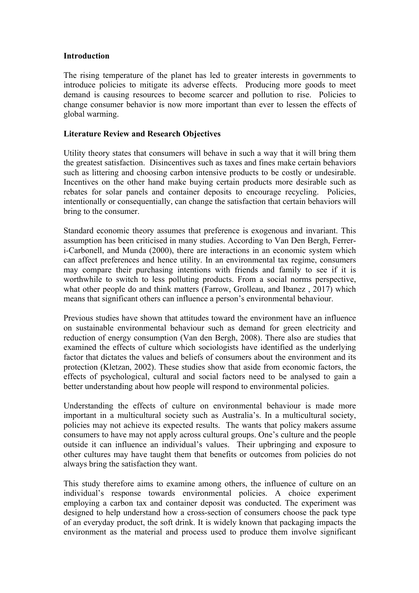#### **Introduction**

The rising temperature of the planet has led to greater interests in governments to introduce policies to mitigate its adverse effects. Producing more goods to meet demand is causing resources to become scarcer and pollution to rise. Policies to change consumer behavior is now more important than ever to lessen the effects of global warming.

#### **Literature Review and Research Objectives**

Utility theory states that consumers will behave in such a way that it will bring them the greatest satisfaction. Disincentives such as taxes and fines make certain behaviors such as littering and choosing carbon intensive products to be costly or undesirable. Incentives on the other hand make buying certain products more desirable such as rebates for solar panels and container deposits to encourage recycling. Policies, intentionally or consequentially, can change the satisfaction that certain behaviors will bring to the consumer.

Standard economic theory assumes that preference is exogenous and invariant. This assumption has been criticised in many studies. According to Van Den Bergh, Ferreri-Carbonell, and Munda (2000), there are interactions in an economic system which can affect preferences and hence utility. In an environmental tax regime, consumers may compare their purchasing intentions with friends and family to see if it is worthwhile to switch to less polluting products. From a social norms perspective, what other people do and think matters (Farrow, Grolleau, and Ibanez, 2017) which means that significant others can influence a person's environmental behaviour.

Previous studies have shown that attitudes toward the environment have an influence on sustainable environmental behaviour such as demand for green electricity and reduction of energy consumption (Van den Bergh, 2008). There also are studies that examined the effects of culture which sociologists have identified as the underlying factor that dictates the values and beliefs of consumers about the environment and its protection (Kletzan, 2002). These studies show that aside from economic factors, the effects of psychological, cultural and social factors need to be analysed to gain a better understanding about how people will respond to environmental policies.

Understanding the effects of culture on environmental behaviour is made more important in a multicultural society such as Australia's. In a multicultural society, policies may not achieve its expected results. The wants that policy makers assume consumers to have may not apply across cultural groups. One's culture and the people outside it can influence an individual's values. Their upbringing and exposure to other cultures may have taught them that benefits or outcomes from policies do not always bring the satisfaction they want.

This study therefore aims to examine among others, the influence of culture on an individual's response towards environmental policies. A choice experiment employing a carbon tax and container deposit was conducted. The experiment was designed to help understand how a cross-section of consumers choose the pack type of an everyday product, the soft drink. It is widely known that packaging impacts the environment as the material and process used to produce them involve significant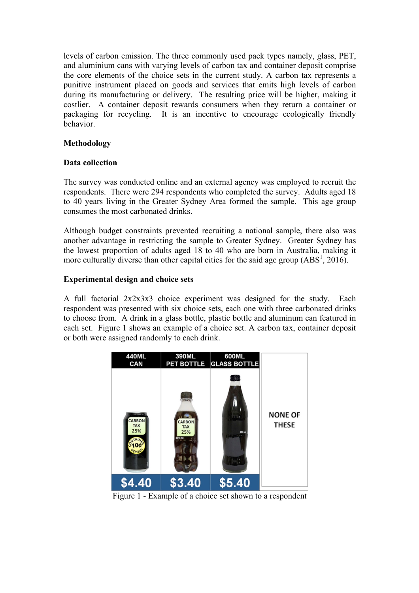levels of carbon emission. The three commonly used pack types namely, glass, PET, and aluminium cans with varying levels of carbon tax and container deposit comprise the core elements of the choice sets in the current study. A carbon tax represents a punitive instrument placed on goods and services that emits high levels of carbon during its manufacturing or delivery. The resulting price will be higher, making it costlier. A container deposit rewards consumers when they return a container or packaging for recycling. It is an incentive to encourage ecologically friendly behavior.

## **Methodology**

#### **Data collection**

The survey was conducted online and an external agency was employed to recruit the respondents. There were 294 respondents who completed the survey. Adults aged 18 to 40 years living in the Greater Sydney Area formed the sample. This age group consumes the most carbonated drinks.

Although budget constraints prevented recruiting a national sample, there also was another advantage in restricting the sample to Greater Sydney. Greater Sydney has the lowest proportion of adults aged 18 to 40 who are born in Australia, making it more culturally diverse than other capital cities for the said age group  $(ABS<sup>1</sup>, 2016)$ .

#### **Experimental design and choice sets**

A full factorial 2x2x3x3 choice experiment was designed for the study. Each respondent was presented with six choice sets, each one with three carbonated drinks to choose from. A drink in a glass bottle, plastic bottle and aluminum can featured in each set. Figure 1 shows an example of a choice set. A carbon tax, container deposit or both were assigned randomly to each drink.



Figure 1 - Example of a choice set shown to a respondent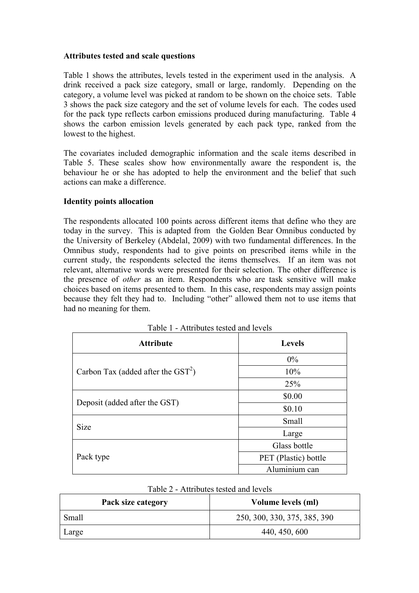#### **Attributes tested and scale questions**

Table 1 shows the attributes, levels tested in the experiment used in the analysis. A drink received a pack size category, small or large, randomly. Depending on the category, a volume level was picked at random to be shown on the choice sets. Table 3 shows the pack size category and the set of volume levels for each. The codes used for the pack type reflects carbon emissions produced during manufacturing. Table 4 shows the carbon emission levels generated by each pack type, ranked from the lowest to the highest.

The covariates included demographic information and the scale items described in Table 5. These scales show how environmentally aware the respondent is, the behaviour he or she has adopted to help the environment and the belief that such actions can make a difference.

## **Identity points allocation**

The respondents allocated 100 points across different items that define who they are today in the survey. This is adapted from the Golden Bear Omnibus conducted by the University of Berkeley (Abdelal, 2009) with two fundamental differences. In the Omnibus study, respondents had to give points on prescribed items while in the current study, the respondents selected the items themselves. If an item was not relevant, alternative words were presented for their selection. The other difference is the presence of *other* as an item. Respondents who are task sensitive will make choices based on items presented to them. In this case, respondents may assign points because they felt they had to. Including "other" allowed them not to use items that had no meaning for them.

| <b>Attribute</b>                             | <b>Levels</b>        |
|----------------------------------------------|----------------------|
|                                              | $0\%$                |
| Carbon Tax (added after the $\text{GST}^2$ ) | 10%                  |
|                                              | 25%                  |
| Deposit (added after the GST)                | \$0.00               |
|                                              | \$0.10               |
| <b>Size</b>                                  | Small                |
|                                              | Large                |
|                                              | Glass bottle         |
| Pack type                                    | PET (Plastic) bottle |
|                                              | Aluminium can        |

| Table 1 - Attributes tested and levels |  |  |
|----------------------------------------|--|--|
|                                        |  |  |

| Table 2 - Attributes tested and levels |  |  |
|----------------------------------------|--|--|
|----------------------------------------|--|--|

| Pack size category | Volume levels (ml)           |
|--------------------|------------------------------|
| Small              | 250, 300, 330, 375, 385, 390 |
| Large              | 440, 450, 600                |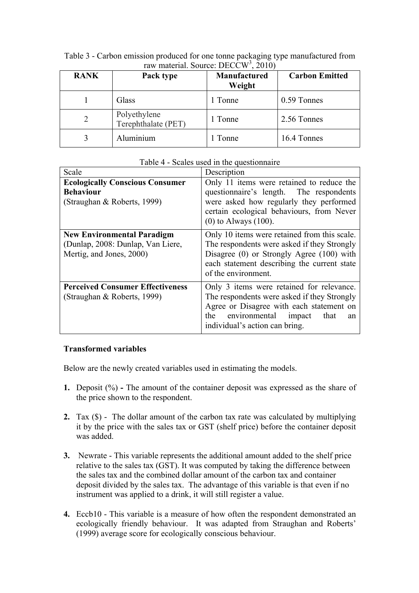| <b>RANK</b> | Pack type                           | Manufactured<br>Weight | <b>Carbon Emitted</b> |
|-------------|-------------------------------------|------------------------|-----------------------|
|             | Glass                               | 1 Tonne                | 0.59 Tonnes           |
|             | Polyethylene<br>Terephthalate (PET) | 1 Tonne                | 2.56 Tonnes           |
|             | Aluminium                           | Tonne                  | 16.4 Tonnes           |

Table 3 - Carbon emission produced for one tonne packaging type manufactured from raw material. Source: DECCW<sup>3</sup>, 2010)

| Scale                                                                                              | Description                                                                                                                                                                                                        |
|----------------------------------------------------------------------------------------------------|--------------------------------------------------------------------------------------------------------------------------------------------------------------------------------------------------------------------|
| <b>Ecologically Conscious Consumer</b><br><b>Behaviour</b><br>(Straughan & Roberts, 1999)          | Only 11 items were retained to reduce the<br>questionnaire's length. The respondents<br>were asked how regularly they performed<br>certain ecological behaviours, from Never<br>$(0)$ to Always $(100)$ .          |
| <b>New Environmental Paradigm</b><br>(Dunlap, 2008: Dunlap, Van Liere,<br>Mertig, and Jones, 2000) | Only 10 items were retained from this scale.<br>The respondents were asked if they Strongly<br>Disagree $(0)$ or Strongly Agree $(100)$ with<br>each statement describing the current state<br>of the environment. |
| <b>Perceived Consumer Effectiveness</b><br>(Straughan & Roberts, 1999)                             | Only 3 items were retained for relevance.<br>The respondents were asked if they Strongly<br>Agree or Disagree with each statement on<br>the environmental impact<br>that<br>an<br>individual's action can bring.   |

## Table 4 - Scales used in the questionnaire

## **Transformed variables**

Below are the newly created variables used in estimating the models.

- **1.** Deposit (%) **-** The amount of the container deposit was expressed as the share of the price shown to the respondent.
- **2.** Tax (\$) -The dollar amount of the carbon tax rate was calculated by multiplying it by the price with the sales tax or GST (shelf price) before the container deposit was added.
- **3.** Newrate This variable represents the additional amount added to the shelf price relative to the sales tax (GST). It was computed by taking the difference between the sales tax and the combined dollar amount of the carbon tax and container deposit divided by the sales tax. The advantage of this variable is that even if no instrument was applied to a drink, it will still register a value.
- **4.** Eccb10 This variable is a measure of how often the respondent demonstrated an ecologically friendly behaviour. It was adapted from Straughan and Roberts' (1999) average score for ecologically conscious behaviour.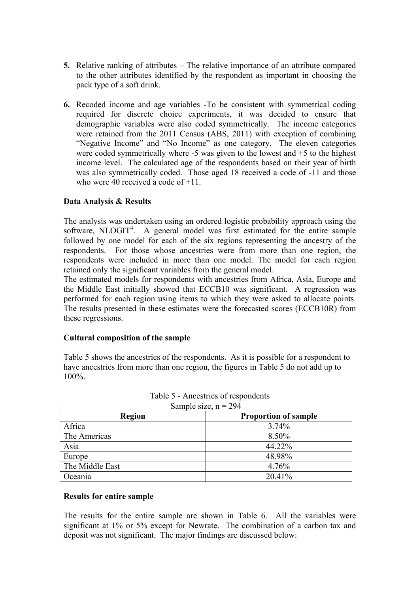- **5.** Relative ranking of attributes The relative importance of an attribute compared to the other attributes identified by the respondent as important in choosing the pack type of a soft drink.
- **6.** Recoded income and age variables -To be consistent with symmetrical coding required for discrete choice experiments, it was decided to ensure that demographic variables were also coded symmetrically. The income categories were retained from the 2011 Census (ABS, 2011) with exception of combining "Negative Income" and "No Income" as one category. The eleven categories were coded symmetrically where -5 was given to the lowest and +5 to the highest income level. The calculated age of the respondents based on their year of birth was also symmetrically coded. Those aged 18 received a code of -11 and those who were 40 received a code of  $+11$ .

## **Data Analysis & Results**

The analysis was undertaken using an ordered logistic probability approach using the software, NLOGIT<sup>4</sup>. A general model was first estimated for the entire sample followed by one model for each of the six regions representing the ancestry of the respondents. For those whose ancestries were from more than one region, the respondents were included in more than one model. The model for each region retained only the significant variables from the general model.

The estimated models for respondents with ancestries from Africa, Asia, Europe and the Middle East initially showed that ECCB10 was significant. A regression was performed for each region using items to which they were asked to allocate points. The results presented in these estimates were the forecasted scores (ECCB10R) from these regressions.

#### **Cultural composition of the sample**

Table 5 shows the ancestries of the respondents. As it is possible for a respondent to have ancestries from more than one region, the figures in Table 5 do not add up to 100%.

| Sample size, $n = 294$                       |        |  |  |
|----------------------------------------------|--------|--|--|
| <b>Proportion of sample</b><br><b>Region</b> |        |  |  |
| Africa                                       | 3.74%  |  |  |
| The Americas                                 | 8.50%  |  |  |
| Asia                                         | 44.22% |  |  |
| Europe                                       | 48.98% |  |  |
| The Middle East                              | 4.76%  |  |  |
| Oceania                                      | 20.41% |  |  |

Table 5 - Ancestries of respondents

#### **Results for entire sample**

The results for the entire sample are shown in Table 6. All the variables were significant at 1% or 5% except for Newrate. The combination of a carbon tax and deposit was not significant. The major findings are discussed below: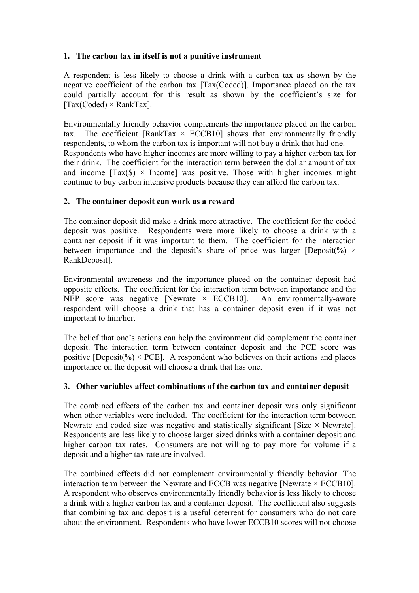# **1. The carbon tax in itself is not a punitive instrument**

A respondent is less likely to choose a drink with a carbon tax as shown by the negative coefficient of the carbon tax [Tax(Coded)]. Importance placed on the tax could partially account for this result as shown by the coefficient's size for  $[Tax(Coded) \times RankTax]$ .

Environmentally friendly behavior complements the importance placed on the carbon tax. The coefficient [RankTax  $\times$  ECCB10] shows that environmentally friendly respondents, to whom the carbon tax is important will not buy a drink that had one. Respondents who have higher incomes are more willing to pay a higher carbon tax for their drink. The coefficient for the interaction term between the dollar amount of tax and income  $\text{Tr}(S) \times \text{Income}$  was positive. Those with higher incomes might continue to buy carbon intensive products because they can afford the carbon tax.

# **2. The container deposit can work as a reward**

The container deposit did make a drink more attractive. The coefficient for the coded deposit was positive. Respondents were more likely to choose a drink with a container deposit if it was important to them. The coefficient for the interaction between importance and the deposit's share of price was larger [Deposit(%)  $\times$ RankDeposit].

Environmental awareness and the importance placed on the container deposit had opposite effects. The coefficient for the interaction term between importance and the NEP score was negative [Newrate  $\times$  ECCB10]. An environmentally-aware respondent will choose a drink that has a container deposit even if it was not important to him/her.

The belief that one's actions can help the environment did complement the container deposit. The interaction term between container deposit and the PCE score was positive [Deposit(%)  $\times$  PCE]. A respondent who believes on their actions and places importance on the deposit will choose a drink that has one.

## **3. Other variables affect combinations of the carbon tax and container deposit**

The combined effects of the carbon tax and container deposit was only significant when other variables were included. The coefficient for the interaction term between Newrate and coded size was negative and statistically significant [Size  $\times$  Newrate]. Respondents are less likely to choose larger sized drinks with a container deposit and higher carbon tax rates. Consumers are not willing to pay more for volume if a deposit and a higher tax rate are involved.

The combined effects did not complement environmentally friendly behavior. The interaction term between the Newrate and ECCB was negative [Newrate  $\times$  ECCB10]. A respondent who observes environmentally friendly behavior is less likely to choose a drink with a higher carbon tax and a container deposit. The coefficient also suggests that combining tax and deposit is a useful deterrent for consumers who do not care about the environment. Respondents who have lower ECCB10 scores will not choose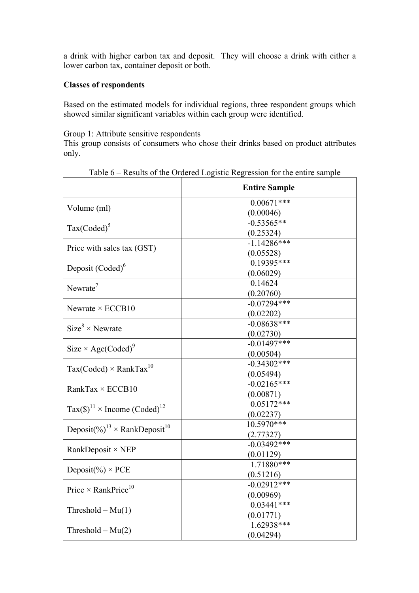a drink with higher carbon tax and deposit. They will choose a drink with either a lower carbon tax, container deposit or both.

#### **Classes of respondents**

Based on the estimated models for individual regions, three respondent groups which showed similar significant variables within each group were identified.

Group 1: Attribute sensitive respondents

This group consists of consumers who chose their drinks based on product attributes only.

|                                                                 | <b>Entire Sample</b> |
|-----------------------------------------------------------------|----------------------|
| Volume (ml)                                                     | $0.00671***$         |
|                                                                 | (0.00046)            |
| $Tax(Coded)^5$                                                  | $-0.53565**$         |
|                                                                 | (0.25324)            |
| Price with sales tax (GST)                                      | $-1.14286***$        |
|                                                                 | (0.05528)            |
| Deposit (Coded) <sup>6</sup>                                    | $0.19395***$         |
|                                                                 | (0.06029)            |
| Newrate <sup>7</sup>                                            | 0.14624              |
|                                                                 | (0.20760)            |
| Newrate $\times$ ECCB10                                         | $-0.07294***$        |
|                                                                 | (0.02202)            |
| $Size^8 \times$ Newrate                                         | $-0.08638***$        |
|                                                                 | (0.02730)            |
| Size $\times$ Age(Coded) <sup>9</sup>                           | $-0.01497***$        |
|                                                                 | (0.00504)            |
| $Tax(Coded) \times RankTax^{10}$                                | $-0.34302$ ***       |
|                                                                 | (0.05494)            |
| RankTax $\times$ ECCB10                                         | $-0.02165***$        |
|                                                                 | (0.00871)            |
| $\text{Tax}(\$)^{11} \times \text{ Income} (\text{Coded})^{12}$ | $0.05172***$         |
|                                                                 | (0.02237)            |
| Deposit(%) <sup>13</sup> × RankDeposit <sup>10</sup>            | $10.5970***$         |
|                                                                 | (2.77327)            |
| RankDeposit $\times$ NEP                                        | $-0.03492$ ***       |
|                                                                 | (0.01129)            |
| Deposit(%) $\times$ PCE                                         | 1.71880***           |
|                                                                 | (0.51216)            |
| Price $\times$ RankPrice <sup>10</sup>                          | $-0.02912***$        |
|                                                                 | (0.00969)            |
| Threshold $-Mu(1)$                                              | $0.03441***$         |
|                                                                 | (0.01771)            |
| Threshold $-Mu(2)$                                              | 1.62938***           |
|                                                                 | (0.04294)            |

Table 6 – Results of the Ordered Logistic Regression for the entire sample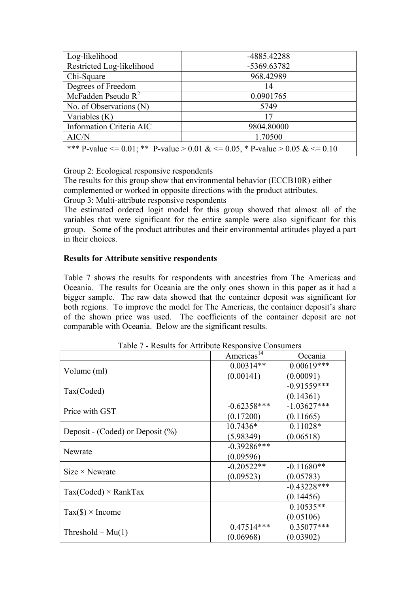| Log-likelihood                                                                         | -4885.42288 |  |
|----------------------------------------------------------------------------------------|-------------|--|
| Restricted Log-likelihood                                                              | -5369.63782 |  |
| Chi-Square                                                                             | 968.42989   |  |
| Degrees of Freedom                                                                     | 14          |  |
| McFadden Pseudo $R^2$                                                                  | 0.0901765   |  |
| No. of Observations (N)                                                                | 5749        |  |
| Variables $(K)$                                                                        | 17          |  |
| Information Criteria AIC                                                               | 9804.80000  |  |
| AIC/N                                                                                  | 1.70500     |  |
| *** P-value $\leq 0.01$ ; ** P-value $> 0.01 \< = 0.05$ , * P-value $> 0.05 \< = 0.10$ |             |  |

Group 2: Ecological responsive respondents

The results for this group show that environmental behavior (ECCB10R) either complemented or worked in opposite directions with the product attributes. Group 3: Multi-attribute responsive respondents

The estimated ordered logit model for this group showed that almost all of the variables that were significant for the entire sample were also significant for this group. Some of the product attributes and their environmental attitudes played a part in their choices.

## **Results for Attribute sensitive respondents**

Table 7 shows the results for respondents with ancestries from The Americas and Oceania. The results for Oceania are the only ones shown in this paper as it had a bigger sample. The raw data showed that the container deposit was significant for both regions. To improve the model for The Americas, the container deposit's share of the shown price was used. The coefficients of the container deposit are not comparable with Oceania. Below are the significant results.

| Table / - Results for Attribute Responsive Consumers |                        |                |  |
|------------------------------------------------------|------------------------|----------------|--|
|                                                      | Americas <sup>14</sup> | Oceania        |  |
|                                                      | $0.00314**$            | $0.00619***$   |  |
| Volume (ml)                                          | (0.00141)              | (0.00091)      |  |
|                                                      |                        | $-0.91559***$  |  |
| Tax(Coded)                                           |                        | (0.14361)      |  |
| Price with GST                                       | $-0.62358***$          | $-1.03627***$  |  |
|                                                      | (0.17200)              | (0.11665)      |  |
|                                                      | $10.7436*$             | $0.11028*$     |  |
| Deposit - (Coded) or Deposit $(\% )$                 | (5.98349)              | (0.06518)      |  |
|                                                      | $-0.39286***$          |                |  |
| Newrate                                              | (0.09596)              |                |  |
| $Size \times$ Newrate                                | $-0.20522**$           | $-0.11680**$   |  |
|                                                      | (0.09523)              | (0.05783)      |  |
|                                                      |                        | $-0.43228$ *** |  |
| $Tax(Coded) \times RankTax$                          |                        | (0.14456)      |  |
|                                                      |                        | $0.10535**$    |  |
| $Tax(\$) \times Income$                              |                        | (0.05106)      |  |
|                                                      | $0.47514***$           | 0.35077***     |  |
| Threshold $-Mu(1)$                                   | (0.06968)              | (0.03902)      |  |

Table 7 - Results for Attribute Responsive Consumers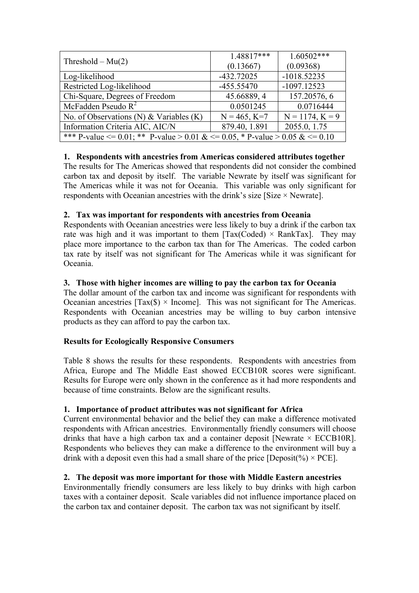|                                                                                        | 1.48817***     | $1.60502***$      |  |
|----------------------------------------------------------------------------------------|----------------|-------------------|--|
| Threshold $- Mu(2)$                                                                    | (0.13667)      | (0.09368)         |  |
| Log-likelihood                                                                         | $-432.72025$   | $-1018.52235$     |  |
| Restricted Log-likelihood                                                              | $-455.55470$   | $-1097.12523$     |  |
| Chi-Square, Degrees of Freedom                                                         | 45.66889, 4    | 157.20576, 6      |  |
| McFadden Pseudo $R^2$                                                                  | 0.0501245      | 0.0716444         |  |
| No. of Observations (N) & Variables $(K)$                                              | $N = 465, K=7$ | $N = 1174, K = 9$ |  |
| Information Criteria AIC, AIC/N                                                        | 879.40, 1.891  | 2055.0, 1.75      |  |
| *** P-value $\leq 0.01$ ; ** P-value $> 0.01 \< = 0.05$ , * P-value $> 0.05 \< = 0.10$ |                |                   |  |

# **1. Respondents with ancestries from Americas considered attributes together**

The results for The Americas showed that respondents did not consider the combined carbon tax and deposit by itself. The variable Newrate by itself was significant for The Americas while it was not for Oceania. This variable was only significant for respondents with Oceanian ancestries with the drink's size [Size × Newrate].

# **2. Tax was important for respondents with ancestries from Oceania**

Respondents with Oceanian ancestries were less likely to buy a drink if the carbon tax rate was high and it was important to them  $[Tax(Coded) \times RankTax]$ . They may place more importance to the carbon tax than for The Americas. The coded carbon tax rate by itself was not significant for The Americas while it was significant for Oceania.

## **3. Those with higher incomes are willing to pay the carbon tax for Oceania**

The dollar amount of the carbon tax and income was significant for respondents with Oceanian ancestries  $[Tax(\$) \times Income]$ . This was not significant for The Americas. Respondents with Oceanian ancestries may be willing to buy carbon intensive products as they can afford to pay the carbon tax.

## **Results for Ecologically Responsive Consumers**

Table 8 shows the results for these respondents. Respondents with ancestries from Africa, Europe and The Middle East showed ECCB10R scores were significant. Results for Europe were only shown in the conference as it had more respondents and because of time constraints. Below are the significant results.

## **1. Importance of product attributes was not significant for Africa**

Current environmental behavior and the belief they can make a difference motivated respondents with African ancestries. Environmentally friendly consumers will choose drinks that have a high carbon tax and a container deposit [Newrate  $\times$  ECCB10R]. Respondents who believes they can make a difference to the environment will buy a drink with a deposit even this had a small share of the price [Deposit(%)  $\times$  PCE].

## **2. The deposit was more important for those with Middle Eastern ancestries**

Environmentally friendly consumers are less likely to buy drinks with high carbon taxes with a container deposit. Scale variables did not influence importance placed on the carbon tax and container deposit. The carbon tax was not significant by itself.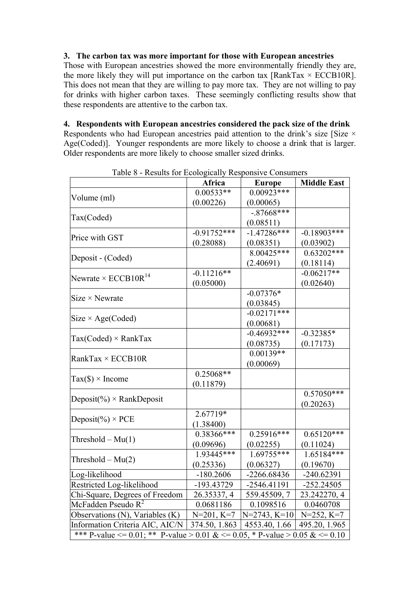#### **3. The carbon tax was more important for those with European ancestries**

Those with European ancestries showed the more environmentally friendly they are, the more likely they will put importance on the carbon tax  $[RankTax \times ECCB10R]$ . This does not mean that they are willing to pay more tax. They are not willing to pay for drinks with higher carbon taxes. These seemingly conflicting results show that these respondents are attentive to the carbon tax.

## **4. Respondents with European ancestries considered the pack size of the drink**

Respondents who had European ancestries paid attention to the drink's size [Size  $\times$ Age(Coded)]. Younger respondents are more likely to choose a drink that is larger. Older respondents are more likely to choose smaller sized drinks.

| rable o - Results for Ecologically Responsive Consumers                      | Africa                    | <b>Europe</b>               | <b>Middle East</b>           |
|------------------------------------------------------------------------------|---------------------------|-----------------------------|------------------------------|
|                                                                              | $0.00533**$               | $0.00923***$                |                              |
| Volume (ml)                                                                  | (0.00226)                 | (0.00065)                   |                              |
|                                                                              |                           | $-.87668***$                |                              |
| Tax(Coded)                                                                   |                           | (0.08511)                   |                              |
|                                                                              | $-0.91\overline{752***}$  | $-1.47286***$               | $-0.18903***$                |
| Price with GST                                                               | (0.28088)                 | (0.08351)                   | (0.03902)                    |
|                                                                              |                           | $8.00425***$                | $0.63202***$                 |
| Deposit - (Coded)                                                            |                           | (2.40691)                   | (0.18114)                    |
|                                                                              | $-0.11216**$              |                             | $-0.06217**$                 |
| Newrate $\times$ ECCB10R <sup>14</sup>                                       | (0.05000)                 |                             | (0.02640)                    |
|                                                                              |                           | $-0.07376*$                 |                              |
| $Size \times$ Newrate                                                        |                           | (0.03845)                   |                              |
|                                                                              |                           | $-0.02171***$               |                              |
| $Size \times Age(Coded)$                                                     |                           | (0.00681)                   |                              |
|                                                                              |                           | $-0.46932***$               | $-0.32385*$                  |
| $Tax(Coded) \times RankTax$                                                  |                           | (0.08735)                   | (0.17173)                    |
|                                                                              |                           | $0.00139**$                 |                              |
| RankTax $\times$ ECCB10R                                                     |                           | (0.00069)                   |                              |
|                                                                              | $0.25068**$               |                             |                              |
| $Tax(\$) \times Income$                                                      | (0.11879)                 |                             |                              |
|                                                                              |                           |                             | $0.570\overline{50***}$      |
| Deposit(%) $\times$ RankDeposit                                              |                           |                             | (0.20263)                    |
|                                                                              | 2.67719*                  |                             |                              |
| Deposit(%) $\times$ PCE                                                      | (1.38400)                 |                             |                              |
|                                                                              | $0.38366***$              | $0.25916***$                | $0.65120***$                 |
| Threshold $-Mu(1)$                                                           | (0.09696)                 | (0.02255)                   | (0.11024)                    |
|                                                                              | 1.93445***                | $1.69755***$                | 1.65184***                   |
| Threshold $-Mu(2)$                                                           | (0.25336)                 | (0.06327)                   | (0.19670)                    |
| Log-likelihood                                                               | $-180.2606$               | -2266.68436                 | $-240.62391$                 |
| Restricted Log-likelihood                                                    |                           |                             |                              |
| Chi-Square, Degrees of Freedom                                               | -193.43729<br>26.35337, 4 | -2546.41191<br>559.45509, 7 | $-252.24505$<br>23.242270, 4 |
|                                                                              |                           |                             |                              |
| McFadden Pseudo $R^2$                                                        | 0.0681186                 | 0.1098516                   | 0.0460708                    |
| Observations (N), Variables (K)                                              | $N=201, K=7$              | $N=2743, K=10$              | $N=252, K=7$                 |
| Information Criteria AIC, AIC/N                                              | 374.50, 1.863             | 4553.40, 1.66               | 495.20, 1.965                |
| *** P-value <= 0.01; ** P-value > 0.01 & <= 0.05, * P-value > 0.05 & <= 0.10 |                           |                             |                              |

Table 8 - Results for Ecologically Responsive Consumers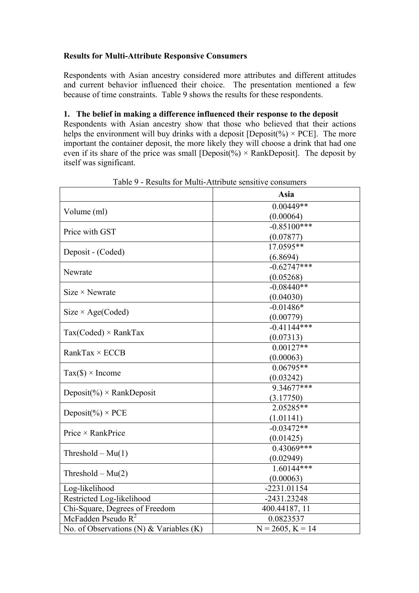## **Results for Multi-Attribute Responsive Consumers**

Respondents with Asian ancestry considered more attributes and different attitudes and current behavior influenced their choice. The presentation mentioned a few because of time constraints. Table 9 shows the results for these respondents.

#### **1. The belief in making a difference influenced their response to the deposit**

Respondents with Asian ancestry show that those who believed that their actions helps the environment will buy drinks with a deposit [Deposit(%)  $\times$  PCE]. The more important the container deposit, the more likely they will choose a drink that had one even if its share of the price was small [Deposit(%)  $\times$  RankDeposit]. The deposit by itself was significant.

|                                           | Asia                       |  |  |
|-------------------------------------------|----------------------------|--|--|
|                                           | $0.00449**$                |  |  |
| Volume (ml)                               | (0.00064)                  |  |  |
| Price with GST                            | $-0.85100***$              |  |  |
|                                           | (0.07877)                  |  |  |
| Deposit - (Coded)                         | 17.0595**                  |  |  |
|                                           | (6.8694)                   |  |  |
| Newrate                                   | $-0.62747***$              |  |  |
|                                           | (0.05268)                  |  |  |
| $Size \times$ Newrate                     | $-0.08440**$               |  |  |
|                                           | (0.04030)                  |  |  |
| Size $\times$ Age(Coded)                  | $-0.01486*$                |  |  |
|                                           | (0.00779)                  |  |  |
| $Tax(Coded) \times RankTax$               | $-0.41144***$              |  |  |
|                                           | (0.07313)                  |  |  |
| RankTax $\times$ ECCB                     | $0.00127**$                |  |  |
|                                           | (0.00063)                  |  |  |
| $Tax(\$) × Income$                        | $0.06795**$                |  |  |
|                                           | (0.03242)                  |  |  |
| Deposit(%) $\times$ RankDeposit           | 9.34677***                 |  |  |
|                                           | (3.17750)                  |  |  |
| Deposit $(\%) \times PCE$                 | 2.05285**                  |  |  |
|                                           | (1.01141)                  |  |  |
| Price $\times$ RankPrice                  | $-0.03472**$               |  |  |
|                                           | (0.01425)<br>$0.43069***$  |  |  |
| Threshold $-Mu(1)$                        |                            |  |  |
|                                           | (0.02949)<br>$1.60144***$  |  |  |
| Threshold $-Mu(2)$                        |                            |  |  |
| Log-likelihood                            | (0.00063)<br>$-2231.01154$ |  |  |
| Restricted Log-likelihood                 | -2431.23248                |  |  |
| Chi-Square, Degrees of Freedom            | 400.44187, 11              |  |  |
| McFadden Pseudo $R^2$                     | 0.0823537                  |  |  |
| No. of Observations (N) $&$ Variables (K) | $N = 2605, K = 14$         |  |  |
|                                           |                            |  |  |

Table 9 - Results for Multi-Attribute sensitive consumers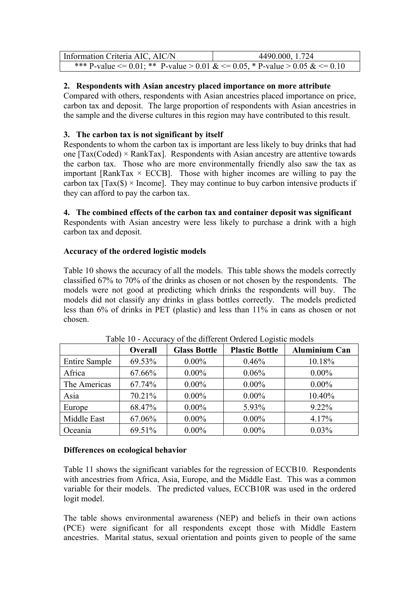| Information Criteria AIC, AIC/N                                                            | 4490.000, 1.724 |
|--------------------------------------------------------------------------------------------|-----------------|
| *** P-value $\leq 0.01$ ; ** P-value > 0.01 & $\leq 0.05$ , * P-value > 0.05 & $\leq 0.10$ |                 |

## **2. Respondents with Asian ancestry placed importance on more attribute**

Compared with others, respondents with Asian ancestries placed importance on price, carbon tax and deposit. The large proportion of respondents with Asian ancestries in the sample and the diverse cultures in this region may have contributed to this result.

## **3. The carbon tax is not significant by itself**

Respondents to whom the carbon tax is important are less likely to buy drinks that had one  $[Tax(Coded) \times RankTax]$ . Respondents with Asian ancestry are attentive towards the carbon tax. Those who are more environmentally friendly also saw the tax as important [RankTax  $\times$  ECCB]. Those with higher incomes are willing to pay the carbon tax  $[Tax(\$) \times Income]$ . They may continue to buy carbon intensive products if they can afford to pay the carbon tax.

**4. The combined effects of the carbon tax and container deposit was significant**

Respondents with Asian ancestry were less likely to purchase a drink with a high carbon tax and deposit.

## **Accuracy of the ordered logistic models**

Table 10 shows the accuracy of all the models. This table shows the models correctly classified 67% to 70% of the drinks as chosen or not chosen by the respondents. The models were not good at predicting which drinks the respondents will buy. The models did not classify any drinks in glass bottles correctly. The models predicted less than 6% of drinks in PET (plastic) and less than 11% in cans as chosen or not chosen.

|                      | Overall | <b>Glass Bottle</b> | <b>Plastic Bottle</b> | <b>Aluminium Can</b> |
|----------------------|---------|---------------------|-----------------------|----------------------|
| <b>Entire Sample</b> | 69.53%  | $0.00\%$            | 0.46%                 | 10.18%               |
| Africa               | 67.66%  | $0.00\%$            | 0.06%                 | $0.00\%$             |
| The Americas         | 67.74%  | $0.00\%$            | $0.00\%$              | $0.00\%$             |
| Asia                 | 70.21%  | $0.00\%$            | $0.00\%$              | 10.40%               |
| Europe               | 68.47%  | $0.00\%$            | 5.93%                 | 9.22%                |
| Middle East          | 67.06%  | $0.00\%$            | $0.00\%$              | 4.17%                |
| Oceania              | 69.51%  | $0.00\%$            | $0.00\%$              | 0.03%                |

Table 10 - Accuracy of the different Ordered Logistic models

## **Differences on ecological behavior**

Table 11 shows the significant variables for the regression of ECCB10. Respondents with ancestries from Africa, Asia, Europe, and the Middle East. This was a common variable for their models. The predicted values, ECCB10R was used in the ordered logit model.

The table shows environmental awareness (NEP) and beliefs in their own actions (PCE) were significant for all respondents except those with Middle Eastern ancestries. Marital status, sexual orientation and points given to people of the same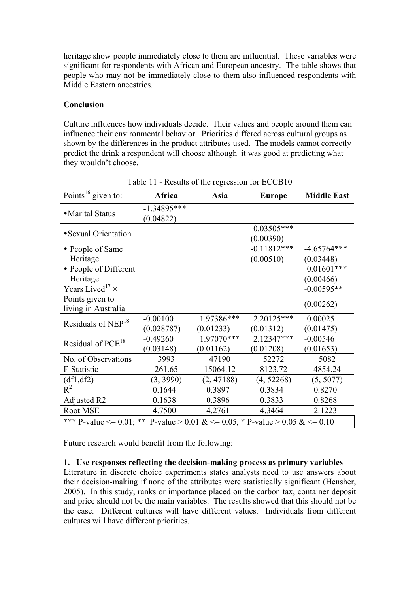heritage show people immediately close to them are influential. These variables were significant for respondents with African and European ancestry. The table shows that people who may not be immediately close to them also influenced respondents with Middle Eastern ancestries.

## **Conclusion**

Culture influences how individuals decide. Their values and people around them can influence their environmental behavior. Priorities differed across cultural groups as shown by the differences in the product attributes used. The models cannot correctly predict the drink a respondent will choose although it was good at predicting what they wouldn't choose.

| Points <sup>16</sup> given to:                                               | Africa                     | Asia       | <b>Europe</b>             | <b>Middle East</b> |  |  |
|------------------------------------------------------------------------------|----------------------------|------------|---------------------------|--------------------|--|--|
| • Marital Status                                                             | $-1.34895***$<br>(0.04822) |            |                           |                    |  |  |
| • Sexual Orientation                                                         |                            |            | $0.03505***$<br>(0.00390) |                    |  |  |
| • People of Same                                                             |                            |            | $-0.11812***$             | $-4.65764***$      |  |  |
| Heritage                                                                     |                            |            | (0.00510)                 | (0.03448)          |  |  |
| • People of Different                                                        |                            |            |                           | $0.01601***$       |  |  |
| Heritage                                                                     |                            |            |                           | (0.00466)          |  |  |
| Years Lived <sup>17</sup> $\times$                                           |                            |            |                           | $-0.00595**$       |  |  |
| Points given to                                                              |                            |            |                           | (0.00262)          |  |  |
| living in Australia                                                          |                            |            |                           |                    |  |  |
| Residuals of NEP <sup>18</sup>                                               | $-0.00100$                 | 1.97386*** | $2.20125***$              | 0.00025            |  |  |
|                                                                              | (0.028787)                 | (0.01233)  | (0.01312)                 | (0.01475)          |  |  |
| Residual of PCE <sup>18</sup>                                                | $-0.49260$                 | 1.97070*** | 2.12347***                | $-0.00546$         |  |  |
|                                                                              | (0.03148)                  | (0.01162)  | (0.01208)                 | (0.01653)          |  |  |
| No. of Observations                                                          | 3993                       | 47190      | 52272                     | 5082               |  |  |
| F-Statistic                                                                  | 261.65                     | 15064.12   | 8123.72                   | 4854.24            |  |  |
| (df1, df2)                                                                   | (3, 3990)                  | (2, 47188) | (4, 52268)                | (5, 5077)          |  |  |
| $R^2$                                                                        | 0.1644                     | 0.3897     | 0.3834                    | 0.8270             |  |  |
| Adjusted R2                                                                  | 0.1638                     | 0.3896     | 0.3833                    | 0.8268             |  |  |
| Root MSE                                                                     | 4.7500                     | 4.2761     | 4.3464                    | 2.1223             |  |  |
| *** P-value <= 0.01; ** P-value > 0.01 & <= 0.05, * P-value > 0.05 & <= 0.10 |                            |            |                           |                    |  |  |

Table 11 - Results of the regression for ECCB10

Future research would benefit from the following:

#### **1. Use responses reflecting the decision-making process as primary variables**

Literature in discrete choice experiments states analysts need to use answers about their decision-making if none of the attributes were statistically significant (Hensher, 2005). In this study, ranks or importance placed on the carbon tax, container deposit and price should not be the main variables. The results showed that this should not be the case. Different cultures will have different values. Individuals from different cultures will have different priorities.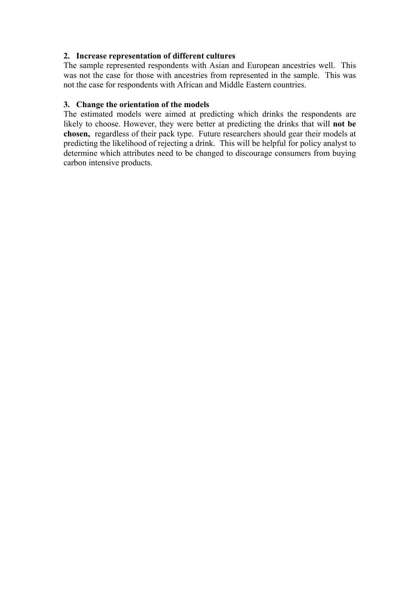## **2. Increase representation of different cultures**

The sample represented respondents with Asian and European ancestries well. This was not the case for those with ancestries from represented in the sample. This was not the case for respondents with African and Middle Eastern countries.

#### **3. Change the orientation of the models**

The estimated models were aimed at predicting which drinks the respondents are likely to choose. However, they were better at predicting the drinks that will **not be chosen,** regardless of their pack type. Future researchers should gear their models at predicting the likelihood of rejecting a drink. This will be helpful for policy analyst to determine which attributes need to be changed to discourage consumers from buying carbon intensive products.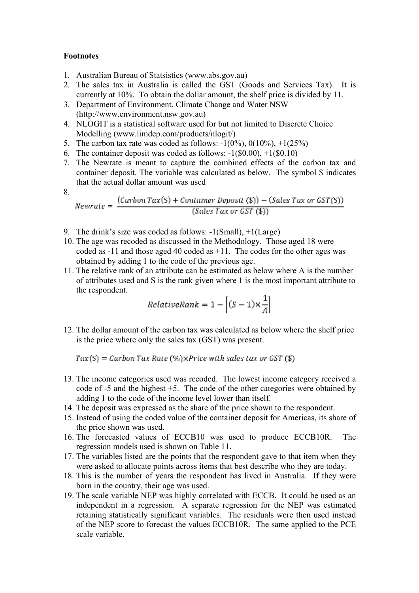#### **Footnotes**

- 1. Australian Bureau of Statsistics (www.abs.gov.au)
- 2. The sales tax in Australia is called the GST (Goods and Services Tax). It is currently at 10%. To obtain the dollar amount, the shelf price is divided by 11.
- 3. Department of Environment, Climate Change and Water NSW (http://www.environment.nsw.gov.au)
- 4. NLOGIT is a statistical software used for but not limited to Discrete Choice Modelling (www.limdep.com/products/nlogit/)
- 5. The carbon tax rate was coded as follows:  $-1(0\%)$ ,  $0(10\%)$ ,  $+1(25\%)$
- 6. The container deposit was coded as follows:  $-1(S0.00)$ ,  $+1(S0.10)$
- 7. The Newrate is meant to capture the combined effects of the carbon tax and container deposit. The variable was calculated as below. The symbol \$ indicates that the actual dollar amount was used
- 8.

$$
Newton Tax(S) + ConditionPer Depusit (\$) - (Sales Tax or GST(S))
$$
  
(Sales Tax or GST (\$))

- 9. The drink's size was coded as follows: -1(Small), +1(Large)
- 10. The age was recoded as discussed in the Methodology. Those aged 18 were coded as -11 and those aged 40 coded as +11. The codes for the other ages was obtained by adding 1 to the code of the previous age.
- 11. The relative rank of an attribute can be estimated as below where A is the number of attributes used and S is the rank given where 1 is the most important attribute to the respondent.

$$
RelativeRank = 1 - \left[ (S-1) \times \frac{1}{A} \right]
$$

12. The dollar amount of the carbon tax was calculated as below where the shelf price is the price where only the sales tax (GST) was present.

 $Tax(S) = Carbon Tax Rate (\%) \times Price with sales tax or GST (\$)$ 

- 13. The income categories used was recoded. The lowest income category received a code of -5 and the highest +5. The code of the other categories were obtained by adding 1 to the code of the income level lower than itself.
- 14. The deposit was expressed as the share of the price shown to the respondent.
- 15. Instead of using the coded value of the container deposit for Americas, its share of the price shown was used.
- 16. The forecasted values of ECCB10 was used to produce ECCB10R. The regression models used is shown on Table 11.
- 17. The variables listed are the points that the respondent gave to that item when they were asked to allocate points across items that best describe who they are today.
- 18. This is the number of years the respondent has lived in Australia. If they were born in the country, their age was used.
- 19. The scale variable NEP was highly correlated with ECCB. It could be used as an independent in a regression. A separate regression for the NEP was estimated retaining statistically significant variables. The residuals were then used instead of the NEP score to forecast the values ECCB10R. The same applied to the PCE scale variable.